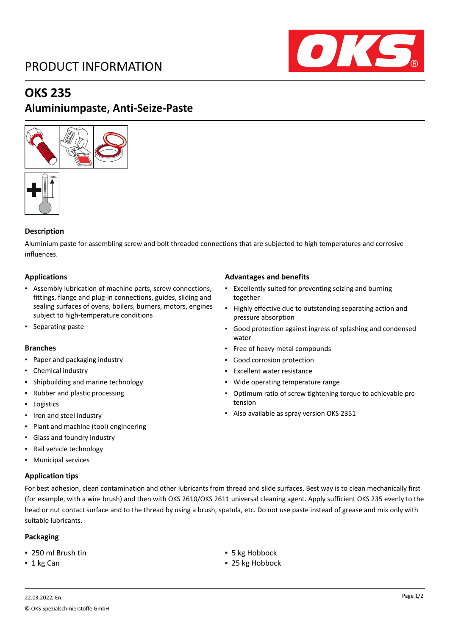## PRODUCT INFORMATION



### **OKS 235**

### **Aluminiumpaste, Anti-Seize-Paste**





### **Description**

Aluminium paste for assembling screw and bolt threaded connections that are subjected to high temperatures and corrosive influences.

#### **Applications**

- Assembly lubrication of machine parts, screw connections, fittings, flange and plug-in connections, guides, sliding and sealing surfaces of ovens, boilers, burners, motors, engines subject to high-temperature conditions
- **•** Separating paste

#### **Branches**

- Paper and packaging industry
- Chemical industry
- Shipbuilding and marine technology
- Rubber and plastic processing
- Logistics
- Iron and steel industry
- Plant and machine (tool) engineering
- Glass and foundry industry
- Rail vehicle technology
- Municipal services

#### **Application tips**

For best adhesion, clean contamination and other lubricants from thread and slide surfaces. Best way is to clean mechanically first (for example, with a wire brush) and then with OKS 2610/OKS 2611 universal cleaning agent. Apply sufficient OKS 235 evenly to the head or nut contact surface and to the thread by using a brush, spatula, etc. Do not use paste instead of grease and mix only with suitable lubricants.

#### **Packaging**

- 250 ml Brush tin ★ 5 kg Hobbock
- 

#### **Advantages and benefits**

- Excellently suited for preventing seizing and burning together
- Highly effective due to outstanding separating action and pressure absorption
- Good protection against ingress of splashing and condensed water
- Free of heavy metal compounds
- Good corrosion protection
- Excellent water resistance
- Wide operating temperature range
- Optimum ratio of screw tightening torque to achievable pretension
- Also available as spray version OKS 2351

■ 1 kg Can **■** 25 kg Hobbock